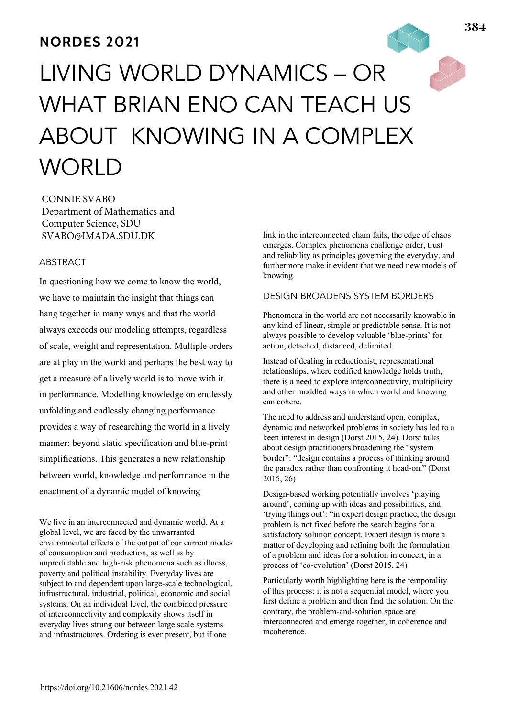# **NORDES 2021**

# LIVING WORLD DYNAMICS – OR WHAT BRIAN ENO CAN TEACH US ABOUT KNOWING IN A COMPLEX **WORLD**

CONNIE SVABO Department of Mathematics and Computer Science, SDU SVABO@IMADA.SDU.DK

# ABSTRACT

In questioning how we come to know the world, we have to maintain the insight that things can hang together in many ways and that the world always exceeds our modeling attempts, regardless of scale, weight and representation. Multiple orders are at play in the world and perhaps the best way to get a measure of a lively world is to move with it in performance. Modelling knowledge on endlessly unfolding and endlessly changing performance provides a way of researching the world in a lively manner: beyond static specification and blue-print simplifications. This generates a new relationship between world, knowledge and performance in the enactment of a dynamic model of knowing

We live in an interconnected and dynamic world. At a global level, we are faced by the unwarranted environmental effects of the output of our current modes of consumption and production, as well as by unpredictable and high-risk phenomena such as illness, poverty and political instability. Everyday lives are subject to and dependent upon large-scale technological, infrastructural, industrial, political, economic and social systems. On an individual level, the combined pressure of interconnectivity and complexity shows itself in everyday lives strung out between large scale systems and infrastructures. Ordering is ever present, but if one

link in the interconnected chain fails, the edge of chaos emerges. Complex phenomena challenge order, trust and reliability as principles governing the everyday, and furthermore make it evident that we need new models of knowing.

# DESIGN BROADENS SYSTEM BORDERS

Phenomena in the world are not necessarily knowable in any kind of linear, simple or predictable sense. It is not always possible to develop valuable 'blue-prints' for action, detached, distanced, delimited.

Instead of dealing in reductionist, representational relationships, where codified knowledge holds truth, there is a need to explore interconnectivity, multiplicity and other muddled ways in which world and knowing can cohere.

The need to address and understand open, complex, dynamic and networked problems in society has led to a keen interest in design (Dorst 2015, 24). Dorst talks about design practitioners broadening the "system border": "design contains a process of thinking around the paradox rather than confronting it head-on." (Dorst 2015, 26)

Design-based working potentially involves 'playing around', coming up with ideas and possibilities, and 'trying things out': "in expert design practice, the design problem is not fixed before the search begins for a satisfactory solution concept. Expert design is more a matter of developing and refining both the formulation of a problem and ideas for a solution in concert, in a process of 'co-evolution' (Dorst 2015, 24)

Particularly worth highlighting here is the temporality of this process: it is not a sequential model, where you first define a problem and then find the solution. On the contrary, the problem-and-solution space are interconnected and emerge together, in coherence and incoherence.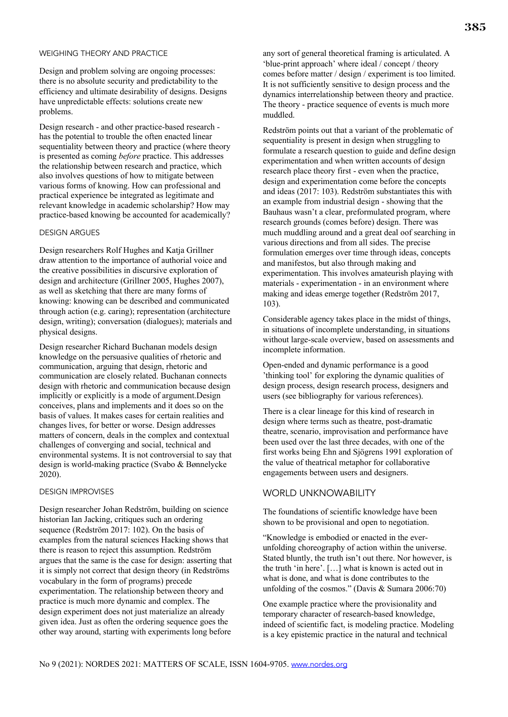#### WEIGHING THEORY AND PRACTICE

Design and problem solving are ongoing processes: there is no absolute security and predictability to the efficiency and ultimate desirability of designs. Designs have unpredictable effects: solutions create new problems.

Design research - and other practice-based research has the potential to trouble the often enacted linear sequentiality between theory and practice (where theory is presented as coming *before* practice. This addresses the relationship between research and practice, which also involves questions of how to mitigate between various forms of knowing. How can professional and practical experience be integrated as legitimate and relevant knowledge in academic scholarship? How may practice-based knowing be accounted for academically?

#### DESIGN ARGUES

Design researchers Rolf Hughes and Katja Grillner draw attention to the importance of authorial voice and the creative possibilities in discursive exploration of design and architecture (Grillner 2005, Hughes 2007), as well as sketching that there are many forms of knowing: knowing can be described and communicated through action (e.g. caring); representation (architecture design, writing); conversation (dialogues); materials and physical designs.

Design researcher Richard Buchanan models design knowledge on the persuasive qualities of rhetoric and communication, arguing that design, rhetoric and communication are closely related. Buchanan connects design with rhetoric and communication because design implicitly or explicitly is a mode of argument.Design conceives, plans and implements and it does so on the basis of values. It makes cases for certain realities and changes lives, for better or worse. Design addresses matters of concern, deals in the complex and contextual challenges of converging and social, technical and environmental systems. It is not controversial to say that design is world-making practice (Svabo & Bønnelycke 2020).

#### DESIGN IMPROVISES

Design researcher Johan Redström, building on science historian Ian Jacking, critiques such an ordering sequence (Redström 2017: 102). On the basis of examples from the natural sciences Hacking shows that there is reason to reject this assumption. Redström argues that the same is the case for design: asserting that it is simply not correct that design theory (in Redströms vocabulary in the form of programs) precede experimentation. The relationship between theory and practice is much more dynamic and complex. The design experiment does not just materialize an already given idea. Just as often the ordering sequence goes the other way around, starting with experiments long before

any sort of general theoretical framing is articulated. A 'blue-print approach' where ideal / concept / theory comes before matter / design / experiment is too limited. It is not sufficiently sensitive to design process and the dynamics interrelationship between theory and practice. The theory - practice sequence of events is much more muddled.

Redström points out that a variant of the problematic of sequentiality is present in design when struggling to formulate a research question to guide and define design experimentation and when written accounts of design research place theory first - even when the practice, design and experimentation come before the concepts and ideas (2017: 103). Redström substantiates this with an example from industrial design - showing that the Bauhaus wasn't a clear, preformulated program, where research grounds (comes before) design. There was much muddling around and a great deal oof searching in various directions and from all sides. The precise formulation emerges over time through ideas, concepts and manifestos, but also through making and experimentation. This involves amateurish playing with materials - experimentation - in an environment where making and ideas emerge together (Redström 2017, 103).

Considerable agency takes place in the midst of things, in situations of incomplete understanding, in situations without large-scale overview, based on assessments and incomplete information.

Open-ended and dynamic performance is a good 'thinking tool' for exploring the dynamic qualities of design process, design research process, designers and users (see bibliography for various references).

There is a clear lineage for this kind of research in design where terms such as theatre, post-dramatic theatre, scenario, improvisation and performance have been used over the last three decades, with one of the first works being Ehn and Sjögrens 1991 exploration of the value of theatrical metaphor for collaborative engagements between users and designers.

#### WORLD UNKNOWABILITY

The foundations of scientific knowledge have been shown to be provisional and open to negotiation.

"Knowledge is embodied or enacted in the everunfolding choreography of action within the universe. Stated bluntly, the truth isn't out there. Nor however, is the truth 'in here'. […] what is known is acted out in what is done, and what is done contributes to the unfolding of the cosmos." (Davis & Sumara 2006:70)

One example practice where the provisionality and temporary character of research-based knowledge, indeed of scientific fact, is modeling practice. Modeling is a key epistemic practice in the natural and technical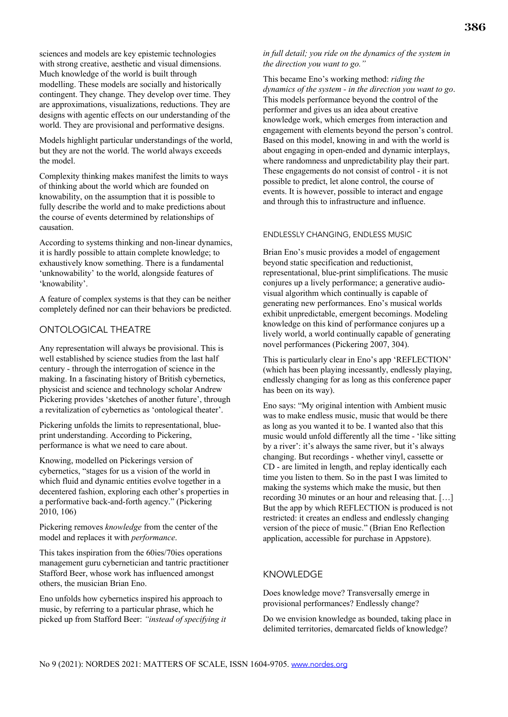sciences and models are key epistemic technologies with strong creative, aesthetic and visual dimensions. Much knowledge of the world is built through modelling. These models are socially and historically contingent. They change. They develop over time. They are approximations, visualizations, reductions. They are designs with agentic effects on our understanding of the world. They are provisional and performative designs.

Models highlight particular understandings of the world, but they are not the world. The world always exceeds the model.

Complexity thinking makes manifest the limits to ways of thinking about the world which are founded on knowability, on the assumption that it is possible to fully describe the world and to make predictions about the course of events determined by relationships of causation.

According to systems thinking and non-linear dynamics, it is hardly possible to attain complete knowledge; to exhaustively know something. There is a fundamental 'unknowability' to the world, alongside features of 'knowability'.

A feature of complex systems is that they can be neither completely defined nor can their behaviors be predicted.

# ONTOLOGICAL THEATRE

Any representation will always be provisional. This is well established by science studies from the last half century - through the interrogation of science in the making. In a fascinating history of British cybernetics, physicist and science and technology scholar Andrew Pickering provides 'sketches of another future', through a revitalization of cybernetics as 'ontological theater'.

Pickering unfolds the limits to representational, blueprint understanding. According to Pickering, performance is what we need to care about.

Knowing, modelled on Pickerings version of cybernetics, "stages for us a vision of the world in which fluid and dynamic entities evolve together in a decentered fashion, exploring each other's properties in a performative back-and-forth agency." (Pickering 2010, 106)

Pickering removes *knowledge* from the center of the model and replaces it with *performance*.

This takes inspiration from the 60ies/70ies operations management guru cybernetician and tantric practitioner Stafford Beer, whose work has influenced amongst others, the musician Brian Eno.

Eno unfolds how cybernetics inspired his approach to music, by referring to a particular phrase, which he picked up from Stafford Beer: *"instead of specifying it* 

#### *in full detail; you ride on the dynamics of the system in the direction you want to go."*

This became Eno's working method: *riding the dynamics of the system - in the direction you want to go*. This models performance beyond the control of the performer and gives us an idea about creative knowledge work, which emerges from interaction and engagement with elements beyond the person's control. Based on this model, knowing in and with the world is about engaging in open-ended and dynamic interplays, where randomness and unpredictability play their part. These engagements do not consist of control - it is not possible to predict, let alone control, the course of events. It is however, possible to interact and engage and through this to infrastructure and influence.

#### ENDLESSLY CHANGING, ENDLESS MUSIC

Brian Eno's music provides a model of engagement beyond static specification and reductionist, representational, blue-print simplifications. The music conjures up a lively performance; a generative audiovisual algorithm which continually is capable of generating new performances. Eno's musical worlds exhibit unpredictable, emergent becomings. Modeling knowledge on this kind of performance conjures up a lively world, a world continually capable of generating novel performances (Pickering 2007, 304).

This is particularly clear in Eno's app 'REFLECTION' (which has been playing incessantly, endlessly playing, endlessly changing for as long as this conference paper has been on its way).

Eno says: "My original intention with Ambient music was to make endless music, music that would be there as long as you wanted it to be. I wanted also that this music would unfold differently all the time - 'like sitting by a river': it's always the same river, but it's always changing. But recordings - whether vinyl, cassette or CD - are limited in length, and replay identically each time you listen to them. So in the past I was limited to making the systems which make the music, but then recording 30 minutes or an hour and releasing that. […] But the app by which REFLECTION is produced is not restricted: it creates an endless and endlessly changing version of the piece of music." (Brian Eno Reflection application, accessible for purchase in Appstore).

# KNOWLEDGE

Does knowledge move? Transversally emerge in provisional performances? Endlessly change?

Do we envision knowledge as bounded, taking place in delimited territories, demarcated fields of knowledge?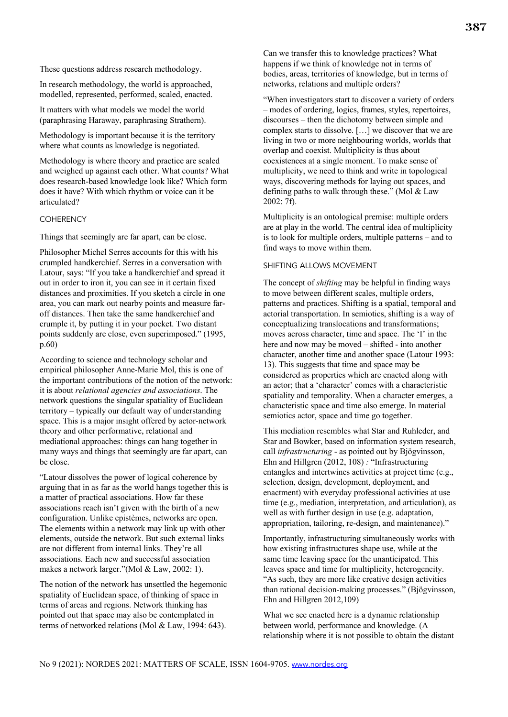These questions address research methodology.

In research methodology, the world is approached, modelled, represented, performed, scaled, enacted.

It matters with what models we model the world (paraphrasing Haraway, paraphrasing Strathern).

Methodology is important because it is the territory where what counts as knowledge is negotiated.

Methodology is where theory and practice are scaled and weighed up against each other. What counts? What does research-based knowledge look like? Which form does it have? With which rhythm or voice can it be articulated?

#### **COHERENCY**

Things that seemingly are far apart, can be close.

Philosopher Michel Serres accounts for this with his crumpled handkerchief. Serres in a conversation with Latour, says: "If you take a handkerchief and spread it out in order to iron it, you can see in it certain fixed distances and proximities. If you sketch a circle in one area, you can mark out nearby points and measure faroff distances. Then take the same handkerchief and crumple it, by putting it in your pocket. Two distant points suddenly are close, even superimposed." (1995, p.60)

According to science and technology scholar and empirical philosopher Anne-Marie Mol, this is one of the important contributions of the notion of the network: it is about *relational agencies and associations*. The network questions the singular spatiality of Euclidean territory – typically our default way of understanding space. This is a major insight offered by actor-network theory and other performative, relational and mediational approaches: things can hang together in many ways and things that seemingly are far apart, can be close.

"Latour dissolves the power of logical coherence by arguing that in as far as the world hangs together this is a matter of practical associations. How far these associations reach isn't given with the birth of a new configuration. Unlike epistèmes, networks are open. The elements within a network may link up with other elements, outside the network. But such external links are not different from internal links. They're all associations. Each new and successful association makes a network larger."(Mol & Law, 2002: 1).

The notion of the network has unsettled the hegemonic spatiality of Euclidean space, of thinking of space in terms of areas and regions. Network thinking has pointed out that space may also be contemplated in terms of networked relations (Mol & Law, 1994: 643).

Can we transfer this to knowledge practices? What happens if we think of knowledge not in terms of bodies, areas, territories of knowledge, but in terms of networks, relations and multiple orders?

"When investigators start to discover a variety of orders – modes of ordering, logics, frames, styles, repertoires, discourses – then the dichotomy between simple and complex starts to dissolve. […] we discover that we are living in two or more neighbouring worlds, worlds that overlap and coexist. Multiplicity is thus about coexistences at a single moment. To make sense of multiplicity, we need to think and write in topological ways, discovering methods for laying out spaces, and defining paths to walk through these." (Mol & Law 2002: 7f).

Multiplicity is an ontological premise: multiple orders are at play in the world. The central idea of multiplicity is to look for multiple orders, multiple patterns – and to find ways to move within them.

#### SHIFTING ALLOWS MOVEMENT

The concept of *shifting* may be helpful in finding ways to move between different scales, multiple orders, patterns and practices. Shifting is a spatial, temporal and actorial transportation. In semiotics, shifting is a way of conceptualizing translocations and transformations; moves across character, time and space. The 'I' in the here and now may be moved – shifted - into another character, another time and another space (Latour 1993: 13). This suggests that time and space may be considered as properties which are enacted along with an actor; that a 'character' comes with a characteristic spatiality and temporality. When a character emerges, a characteristic space and time also emerge. In material semiotics actor, space and time go together.

This mediation resembles what Star and Ruhleder, and Star and Bowker, based on information system research, call *infrastructuring* - as pointed out by Bjögvinsson, Ehn and Hillgren (2012, 108) *:* "Infrastructuring entangles and intertwines activities at project time (e.g., selection, design, development, deployment, and enactment) with everyday professional activities at use time (e.g., mediation, interpretation, and articulation), as well as with further design in use (e.g. adaptation, appropriation, tailoring, re-design, and maintenance)."

Importantly, infrastructuring simultaneously works with how existing infrastructures shape use, while at the same time leaving space for the unanticipated. This leaves space and time for multiplicity, heterogeneity. "As such, they are more like creative design activities than rational decision-making processes." (Bjögvinsson, Ehn and Hillgren 2012,109)

What we see enacted here is a dynamic relationship between world, performance and knowledge. (A relationship where it is not possible to obtain the distant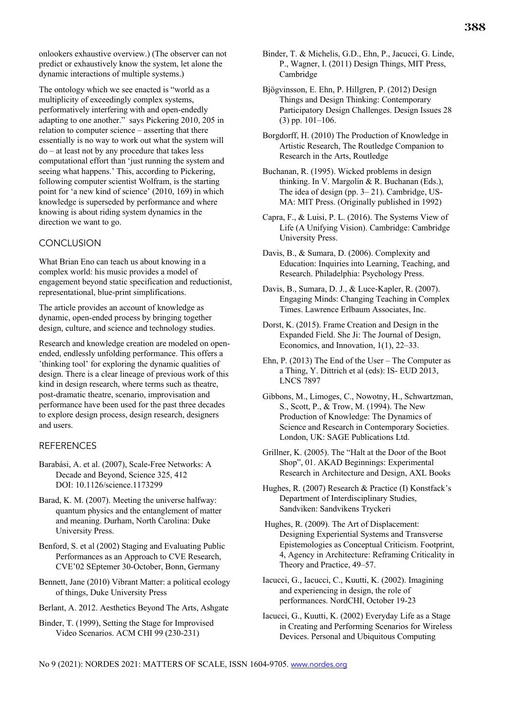onlookers exhaustive overview.) (The observer can not predict or exhaustively know the system, let alone the dynamic interactions of multiple systems.)

The ontology which we see enacted is "world as a multiplicity of exceedingly complex systems, performatively interfering with and open-endedly adapting to one another." says Pickering 2010, 205 in relation to computer science – asserting that there essentially is no way to work out what the system will do – at least not by any procedure that takes less computational effort than 'just running the system and seeing what happens.' This, according to Pickering, following computer scientist Wolfram, is the starting point for 'a new kind of science' (2010, 169) in which knowledge is superseded by performance and where knowing is about riding system dynamics in the direction we want to go.

#### **CONCLUSION**

What Brian Eno can teach us about knowing in a complex world: his music provides a model of engagement beyond static specification and reductionist, representational, blue-print simplifications.

The article provides an account of knowledge as dynamic, open-ended process by bringing together design, culture, and science and technology studies.

Research and knowledge creation are modeled on openended, endlessly unfolding performance. This offers a 'thinking tool' for exploring the dynamic qualities of design. There is a clear lineage of previous work of this kind in design research, where terms such as theatre, post-dramatic theatre, scenario, improvisation and performance have been used for the past three decades to explore design process, design research, designers and users.

## REFERENCES

- Barabási, A. et al. (2007), Scale-Free Networks: A Decade and Beyond, Science 325, 412 DOI: 10.1126/science.1173299
- Barad, K. M. (2007). Meeting the universe halfway: quantum physics and the entanglement of matter and meaning. Durham, North Carolina: Duke University Press.

Benford, S. et al (2002) Staging and Evaluating Public Performances as an Approach to CVE Research, CVE'02 SEptemer 30-October, Bonn, Germany

Bennett, Jane (2010) Vibrant Matter: a political ecology of things, Duke University Press

Berlant, A. 2012. Aesthetics Beyond The Arts, Ashgate

Binder, T. (1999), Setting the Stage for Improvised Video Scenarios. ACM CHI 99 (230-231)

- Binder, T. & Michelis, G.D., Ehn, P., Jacucci, G. Linde, P., Wagner, I. (2011) Design Things, MIT Press, Cambridge
- Bjögvinsson, E. Ehn, P. Hillgren, P. (2012) Design Things and Design Thinking: Contemporary Participatory Design Challenges. Design Issues 28 (3) pp. 101–106.
- Borgdorff, H. (2010) The Production of Knowledge in Artistic Research, The Routledge Companion to Research in the Arts, Routledge

Buchanan, R. (1995). Wicked problems in design thinking. In V. Margolin & R. Buchanan (Eds.), The idea of design (pp. 3– 21). Cambridge, US-MA: MIT Press. (Originally published in 1992)

- Capra, F., & Luisi, P. L. (2016). The Systems View of Life (A Unifying Vision). Cambridge: Cambridge University Press.
- Davis, B., & Sumara, D. (2006). Complexity and Education: Inquiries into Learning, Teaching, and Research. Philadelphia: Psychology Press.
- Davis, B., Sumara, D. J., & Luce-Kapler, R. (2007). Engaging Minds: Changing Teaching in Complex Times. Lawrence Erlbaum Associates, Inc.
- Dorst, K. (2015). Frame Creation and Design in the Expanded Field. She Ji: The Journal of Design, Economics, and Innovation, 1(1), 22–33.
- Ehn, P. (2013) The End of the User The Computer as a Thing, Y. Dittrich et al (eds): IS- EUD 2013, LNCS 7897
- Gibbons, M., Limoges, C., Nowotny, H., Schwartzman, S., Scott, P., & Trow, M. (1994). The New Production of Knowledge: The Dynamics of Science and Research in Contemporary Societies. London, UK: SAGE Publications Ltd.
- Grillner, K. (2005). The "Halt at the Door of the Boot Shop", 01. AKAD Beginnings: Experimental Research in Architecture and Design, AXL Books
- Hughes, R. (2007) Research & Practice (I) Konstfack's Department of Interdisciplinary Studies, Sandviken: Sandvikens Tryckeri
- Hughes, R. (2009). The Art of Displacement: Designing Experiential Systems and Transverse Epistemologies as Conceptual Criticism. Footprint, 4, Agency in Architecture: Reframing Criticality in Theory and Practice, 49–57.
- Iacucci, G., Iacucci, C., Kuutti, K. (2002). Imagining and experiencing in design, the role of performances. NordCHI, October 19-23
- Iacucci, G., Kuutti, K. (2002) Everyday Life as a Stage in Creating and Performing Scenarios for Wireless Devices. Personal and Ubiquitous Computing